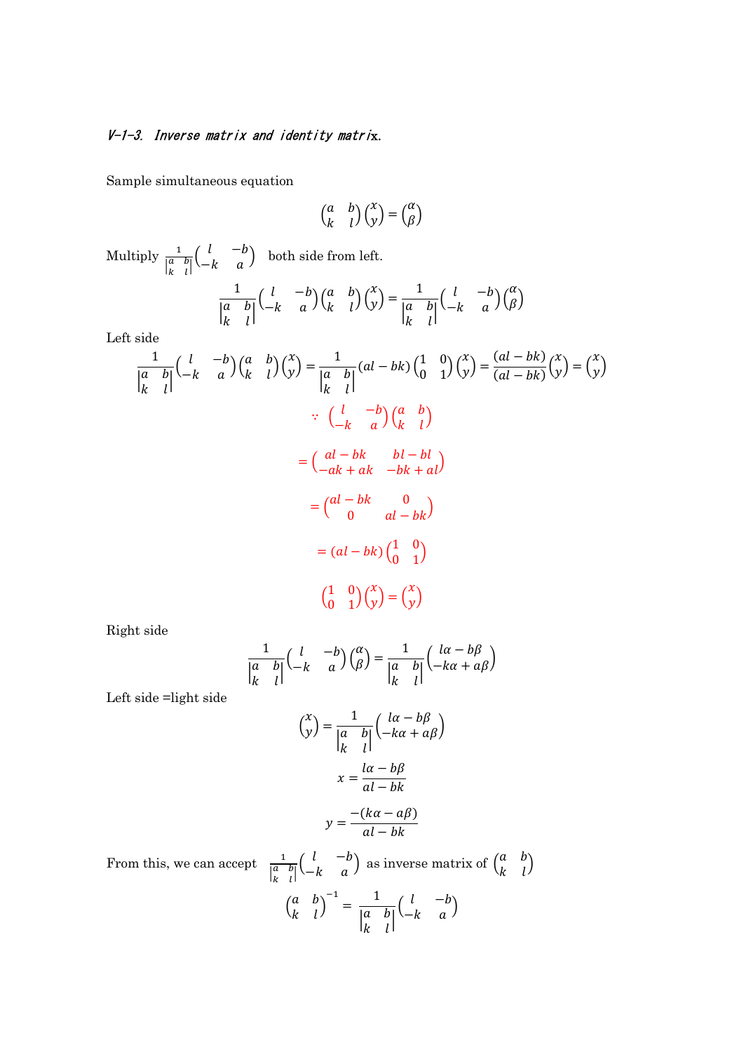## V-1-3. Inverse matrix and identity matrix.

Sample simultaneous equation

$$
\begin{pmatrix} a & b \\ k & l \end{pmatrix} \begin{pmatrix} x \\ y \end{pmatrix} = \begin{pmatrix} \alpha \\ \beta \end{pmatrix}
$$

1  $\overline{\begin{bmatrix} a & b \\ b & d \end{bmatrix}}$  $\begin{bmatrix} a & b \\ k & l \end{bmatrix}$ 

 $\begin{pmatrix} l & -b \\ -k & a \end{pmatrix} \begin{pmatrix} \alpha \\ \beta \end{pmatrix}$ 

Multiply  $\frac{1}{\left|\frac{a}{k} - b\right|}$  $\begin{pmatrix} l & -b \\ -k & a \end{pmatrix}$  both side from left. 1  $\overline{\begin{bmatrix} a & b \\ b & d \end{bmatrix}}$  $\begin{bmatrix} a & b \\ k & l \end{bmatrix}$  $\begin{pmatrix} l & -b \\ -k & a \end{pmatrix} \begin{pmatrix} a & b \\ k & l \end{pmatrix} \begin{pmatrix} x \\ y \end{pmatrix} =$ 

Left side

$$
\frac{1}{\begin{vmatrix} a & b \\ k & l \end{vmatrix}} \begin{pmatrix} l & -b \\ -k & a \end{pmatrix} \begin{pmatrix} a & b \\ k & l \end{pmatrix} \begin{pmatrix} x \\ y \end{pmatrix} = \frac{1}{\begin{vmatrix} a & b \\ k & l \end{vmatrix}} (al - bk) \begin{pmatrix} 1 & 0 \\ 0 & 1 \end{pmatrix} \begin{pmatrix} x \\ y \end{pmatrix} = \frac{(al - bk)}{(al - bk)} \begin{pmatrix} x \\ y \end{pmatrix}
$$
  
\n
$$
\therefore \begin{pmatrix} l & -b \\ -k & a \end{pmatrix} \begin{pmatrix} a & b \\ k & l \end{pmatrix}
$$
  
\n
$$
= \begin{pmatrix} al - bk & bl - bl \\ -ak + ak & -bk + al \end{pmatrix}
$$
  
\n
$$
= \begin{pmatrix} al - bk & 0 \\ 0 & al - bk \end{pmatrix}
$$
  
\n
$$
= (al - bk) \begin{pmatrix} 1 & 0 \\ 0 & 1 \end{pmatrix}
$$
  
\n
$$
\begin{pmatrix} \frac{1}{0} & 0 \\ 0 & 1 \end{pmatrix} \begin{pmatrix} x \\ y \end{pmatrix} = \begin{pmatrix} x \\ y \end{pmatrix}
$$

Right side

$$
\frac{1}{\begin{vmatrix} a & b \\ k & l \end{vmatrix}} \begin{pmatrix} l & -b \\ -k & a \end{pmatrix} \begin{pmatrix} \alpha \\ \beta \end{pmatrix} = \frac{1}{\begin{vmatrix} a & b \\ k & l \end{vmatrix}} \begin{pmatrix} l\alpha - b\beta \\ -k\alpha + a\beta \end{pmatrix}
$$

Left side =light side

$$
\binom{x}{y} = \frac{1}{\begin{vmatrix} a & b \\ k & l \end{vmatrix}} \binom{\begin{vmatrix} la - b\beta \\ -k\alpha + a\beta \end{vmatrix}}{x = \frac{la - b\beta}{al - bk}}
$$

$$
y = \frac{-(k\alpha - a\beta)}{}
$$

$$
y = \frac{-(\kappa a - a\beta)}{al - bk}
$$

From this, we can accept  $\frac{1}{\begin{vmatrix} a & b \\ k & l \end{vmatrix}}$  $\begin{pmatrix} l & -b \\ -k & a \end{pmatrix}$  as inverse matrix of  $\begin{pmatrix} a & b \\ k & l \end{pmatrix}$  $\begin{pmatrix} a & b \\ k & l \end{pmatrix}$  $\begin{pmatrix} a & b \\ b & d \end{pmatrix}$  $\begin{pmatrix} a & b \\ k & l \end{pmatrix}$  $\frac{-1}{\sqrt{a}} = \frac{1}{\sqrt{a}}$  $\overline{\begin{bmatrix} a & b \\ b & d \end{bmatrix}}$  $\begin{bmatrix} a & b \\ k & l \end{bmatrix}$  $\begin{pmatrix} l & -b \\ -k & a \end{pmatrix}$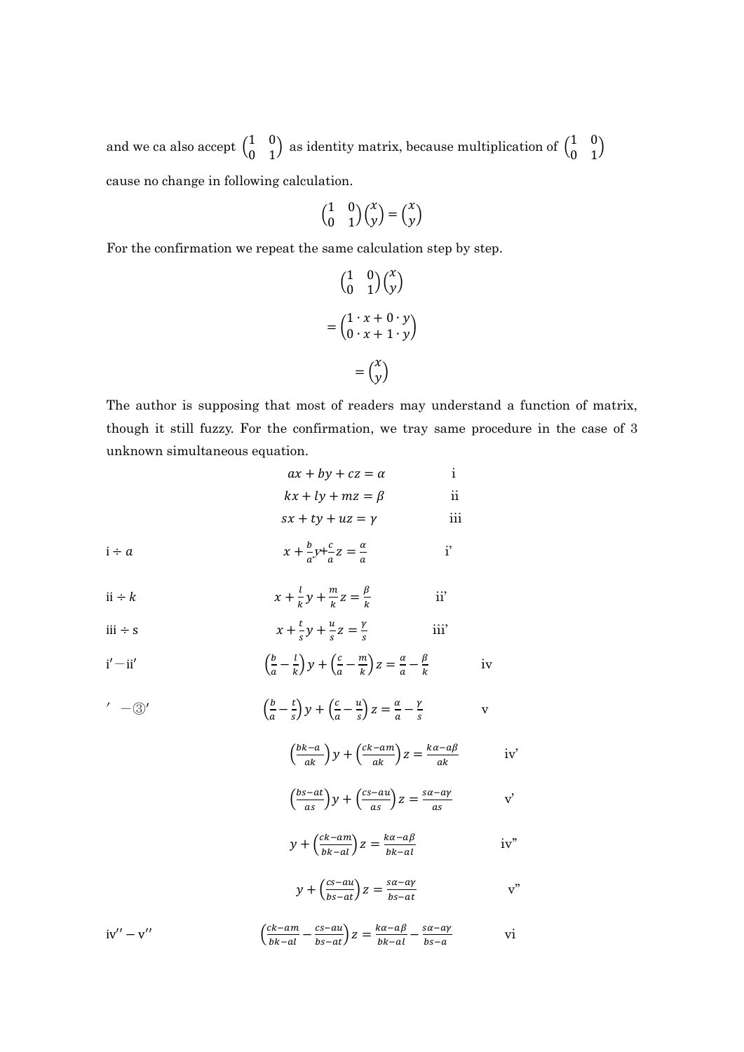and we ca also accept  $\begin{pmatrix} 1 & 0 \\ 0 & 1 \end{pmatrix}$  as identity matrix, because multiplication of  $\begin{pmatrix} 1 & 0 \\ 0 & 1 \end{pmatrix}$  $\begin{pmatrix} 1 & 0 \\ 0 & 1 \end{pmatrix}$ cause no change in following calculation.

$$
\begin{pmatrix} 1 & 0 \\ 0 & 1 \end{pmatrix} \begin{pmatrix} x \\ y \end{pmatrix} = \begin{pmatrix} x \\ y \end{pmatrix}
$$

For the confirmation we repeat the same calculation step by step.

$$
\begin{pmatrix} 1 & 0 \\ 0 & 1 \end{pmatrix} \begin{pmatrix} x \\ y \end{pmatrix}
$$

$$
= \begin{pmatrix} 1 \cdot x + 0 \cdot y \\ 0 \cdot x + 1 \cdot y \end{pmatrix}
$$

$$
= \begin{pmatrix} x \\ y \end{pmatrix}
$$

The author is supposing that most of readers may understand a function of matrix, though it still fuzzy. For the confirmation, we tray same procedure in the case of 3 unknown simultaneous equation.

iv

v

iv'

v'

iv''

v''

vi

|              | $ax + by + cz = \alpha$                                                                                                                                                  | i             |  |
|--------------|--------------------------------------------------------------------------------------------------------------------------------------------------------------------------|---------------|--|
|              | $kx + ly + mz = \beta$                                                                                                                                                   | ii            |  |
|              | $sx + ty + uz = y$                                                                                                                                                       | iii           |  |
| $i \div a$   | $x+\frac{b}{a}y+\frac{c}{a}z=\frac{a}{a}$                                                                                                                                | $\mathbf{i}'$ |  |
| $ii \div k$  | $x + \frac{l}{k}y + \frac{m}{k}z = \frac{\beta}{k}$                                                                                                                      | ii'           |  |
| $iii \div s$ | $x + \frac{t}{g}y + \frac{u}{g}z = \frac{y}{g}$                                                                                                                          | iii'          |  |
| $i' - ii'$   | $\left(\frac{b}{a} - \frac{l}{k}\right)y + \left(\frac{c}{a} - \frac{m}{k}\right)z = \frac{\alpha}{a} - \frac{\beta}{k}$                                                 |               |  |
| $' - (3)'$   | $\left(\frac{b}{a}-\frac{t}{c}\right)y+\left(\frac{c}{a}-\frac{u}{c}\right)z=\frac{\alpha}{a}-\frac{\gamma}{c}$                                                          |               |  |
|              | $\left(\frac{bk-a}{ak}\right)y + \left(\frac{ck-am}{ak}\right)z = \frac{k\alpha - a\beta}{ak}$                                                                           |               |  |
|              | $\left(\frac{bs-at}{as}\right)y+\left(\frac{cs-au}{as}\right)z=\frac{sa-ay}{as}$<br>$y + \left(\frac{ck-am}{bk \cdot sl}\right)z = \frac{k\alpha - a\beta}{bk \cdot sl}$ |               |  |
|              |                                                                                                                                                                          |               |  |
|              | $y + \left(\frac{cs - au}{bs - at}\right)z = \frac{sa - ay}{bs - at}$                                                                                                    |               |  |
| $iv'' - v''$ | $\left(\frac{ck-am}{bk-al} - \frac{cs-au}{bs-at}\right)z = \frac{k\alpha - a\beta}{bk-al} - \frac{sa-ay}{bs-a}$                                                          |               |  |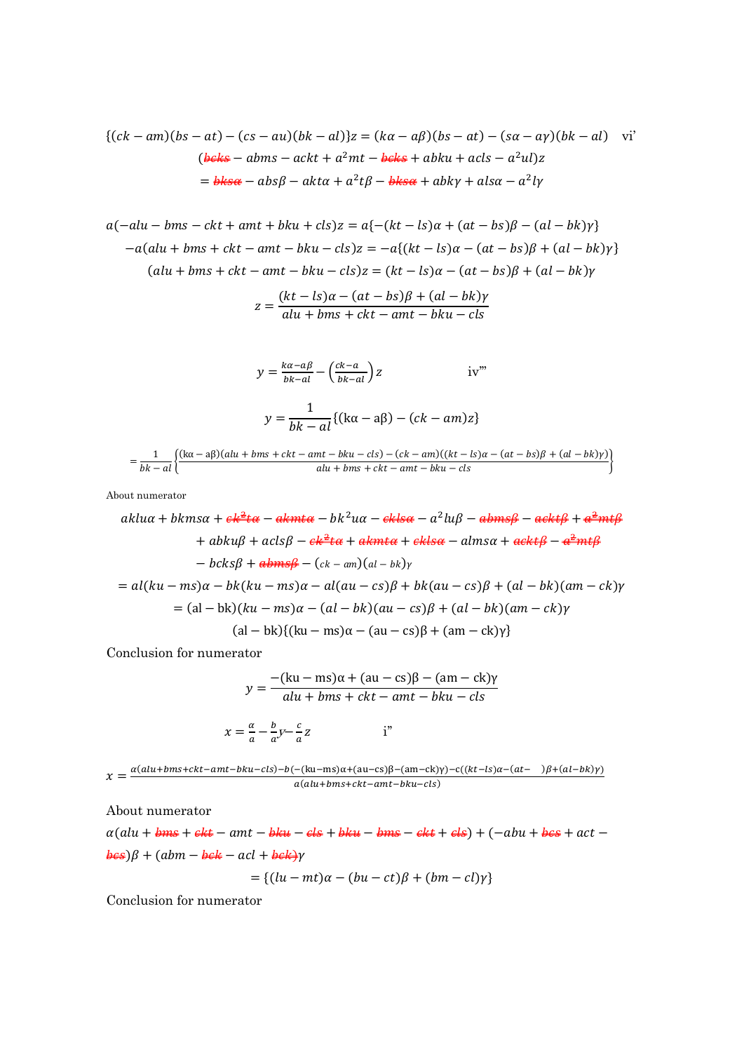$$
\{(ck-am)(bs-at)-(cs-au)(bk-al)\}z = (ka-a\beta)(bs-at)-(sa-a\gamma)(bk-al)
$$
vi'  
(beks – abms – ackt + a<sup>2</sup>mt – beks + abku + acls – a<sup>2</sup>ul)z  
= bksa – absβ – akta + a<sup>2</sup>tβ – bksa + abky + alsa – a<sup>2</sup>ly

$$
a(-alu - bms - ckt + amt + bku + cls)z = a\{-(kt - ls)\alpha + (at - bs)\beta - (al - bk)\gamma\}
$$

$$
-a(alu + bms + ckt - amt - bku - cls)z = -a\{(kt - ls)\alpha - (at - bs)\beta + (al - bk)\gamma\}
$$

$$
(alu + bms + ckt - amt - bku - cls)z = (kt - ls)\alpha - (at - bs)\beta + (al - bk)\gamma
$$

$$
z = \frac{(kt - ls)\alpha - (at - bs)\beta + (al - bk)\gamma}{alu + bms + ckt - amt - bku - cls}
$$

$$
y = \frac{k\alpha - a\beta}{bk - al} - \left(\frac{ck - a}{bk - al}\right)z \qquad \text{iv}^m
$$

$$
y = \frac{1}{bk - al} \{ (k\alpha - a\beta) - (ck - am)z \}
$$

$$
= \frac{1}{bk - al} \left\{ \frac{(k\alpha - a\beta)(alu + bms + ckt - amt - bku - cls) - (ck - am)((kt - ls)\alpha - (at - bs)\beta + (al - bk)y)}{alu + bms + ckt - amt - bku - cls} \right\}
$$

About numerator

$$
aklu\alpha + bkms\alpha + e\frac{e^{2}t\alpha}{\alpha} - akmt\alpha - bk^{2}u\alpha - eklsa - a^{2}lu\beta - abms\beta - aekt\beta + a^{2}mt\beta
$$
  
+  $abku\beta + acls\beta - e\frac{e^{2}t\alpha}{\alpha} + akmt\alpha + ekls\alpha - alms\alpha + aekt\beta - a^{2}mt\beta$   
-  $bcks\beta + abms\beta - (ck - am)(al - bk)\gamma$   
=  $al(ku - ms)\alpha - bk(ku - ms)\alpha - al(au - cs)\beta + bk(au - cs)\beta + (al - bk)(am - ck)\gamma$   
=  $(al - bk)(ku - ms)\alpha - (al - bk)(au - cs)\beta + (al - bk)(am - ck)\gamma$   
(al - bk){ $(ku - ms)\alpha - (au - cs)\beta + (am - ck)\gamma$ }

Conclusion for numerator

$$
y = \frac{-(ku - ms)\alpha + (au - cs)\beta - (am - ck)\gamma}{alu + bms + ckt - amt - bku - cls}
$$

$$
x = \frac{a}{a} - \frac{b}{a}y - \frac{c}{a}z
$$
 i"

 $\chi = \frac{a(alu + bms + ckt -amt - bku - cls) - b(-(ku - ms)\alpha + (au - cs)\beta - (am - ck)\gamma) - c((kt - ls)\alpha - (at - \beta) + (al - bk)\gamma)}{a(aki + bms + ckt - amt - bku - cs)\beta - (am - ck)\gamma - c((kt - ls)\alpha - (at - \beta) + (al - bk)\gamma)}$  $a(alu+bms+ckt-amt-bku-cls)$ 

About numerator

 $\alpha (alu + bms + ekt - amt - bku - els + bku - bms - ekt + els) + (-abu + bes + act - bks)$  $\frac{1}{\theta \epsilon s}$ ) $\beta$  + (abm –  $\frac{1}{\theta \epsilon k}$  – acl +  $\frac{1}{\theta \epsilon k}$ )

$$
= \{ (lu - mt)\alpha - (bu - ct)\beta + (bm - cl)\gamma \}
$$

Conclusion for numerator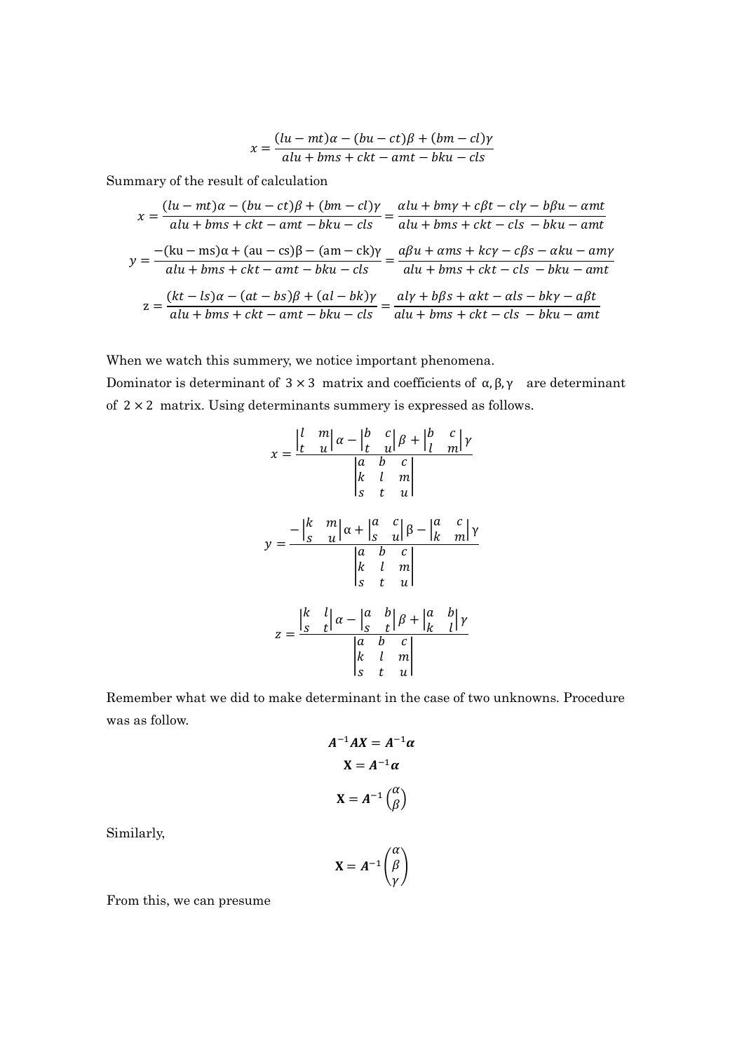$$
x = \frac{(lu - mt)\alpha - (bu - ct)\beta + (bm - cl)\gamma}{alu + bms + ckt - amt - bku - cls}
$$

Summary of the result of calculation

$$
x = \frac{(\ln - mt)\alpha - (bu - ct)\beta + (bm - cl)\gamma}{alu + bms + ckt - amt - bku - cls} = \frac{alu + bmy + c\beta t - cl\gamma - b\beta u - amt}{alu + bms + ckt - cls - bku - amt}
$$

$$
y = \frac{-(ku - ms)\alpha + (au - cs)\beta - (am - ck)\gamma}{alu + bms + ckt - amt - bku - cls} = \frac{a\beta u + ams + kc\gamma - c\beta s - \alpha ku - am\gamma}{alu + bms + ckt - amt - bku - cls} = \frac{a\beta u + ams + kc\gamma - c\beta s - \alpha ku - am\gamma}{alu + bms + ckt - amt - bku - cls} = \frac{a\beta u + bms + ckt - \alpha ls - bk\gamma - a\beta t}{alu + bms + ckt - amt - bku - cls} = \frac{al\gamma + b\beta s + \alpha kt - \alpha ls - bk\gamma - a\beta t}{alu + bms + ckt - cls - bku - amt}
$$

When we watch this summery, we notice important phenomena.

Dominator is determinant of  $3 \times 3$  matrix and coefficients of α, β, γ are determinant of 2 × 2 matrix. Using determinants summery is expressed as follows.

$$
x = \frac{\begin{vmatrix} l & m \\ t & u \end{vmatrix} \alpha - \begin{vmatrix} b & c \\ t & u \end{vmatrix} \beta + \begin{vmatrix} b & c \\ l & m \end{vmatrix} \gamma}{\begin{vmatrix} k & l & m \\ s & t & u \end{vmatrix}}
$$

$$
y = \frac{-\begin{vmatrix} k & m \\ s & u \end{vmatrix} \alpha + \begin{vmatrix} a & c \\ s & u \end{vmatrix} \beta - \begin{vmatrix} a & c \\ k & m \end{vmatrix} \gamma}{\begin{vmatrix} a & b & c \\ s & t & u \end{vmatrix}}
$$

$$
z = \frac{\begin{vmatrix} k & l \\ s & t \end{vmatrix} \alpha - \begin{vmatrix} a & b \\ s & t \end{vmatrix} \beta + \begin{vmatrix} a & b \\ k & l \end{vmatrix} \gamma}{\begin{vmatrix} a & b & c \\ k & l & m \\ s & t & u \end{vmatrix}}
$$

Remember what we did to make determinant in the case of two unknowns. Procedure was as follow.

$$
A^{-1}AX = A^{-1}\alpha
$$

$$
X = A^{-1}\alpha
$$

$$
X = A^{-1}\begin{pmatrix} \alpha \\ \beta \end{pmatrix}
$$

Similarly,

$$
X = A^{-1} \begin{pmatrix} \alpha \\ \beta \\ \gamma \end{pmatrix}
$$

From this, we can presume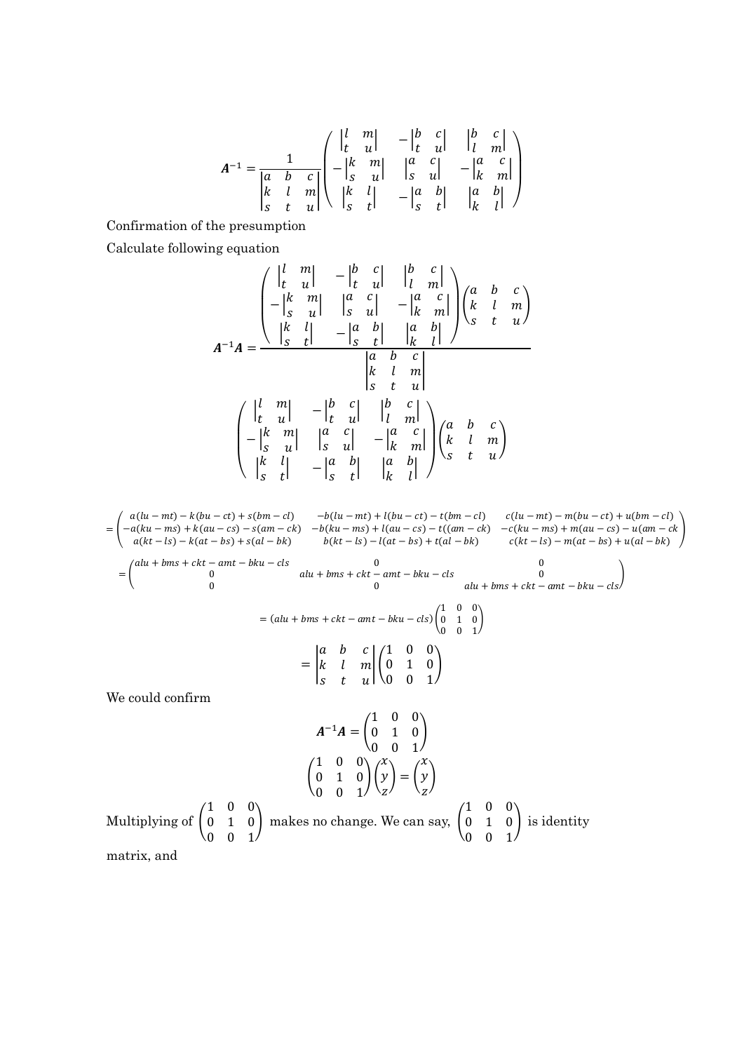$$
A^{-1} = \frac{1}{\begin{vmatrix} a & b & c \\ k & l & m \\ s & t & u \end{vmatrix}} \begin{pmatrix} \begin{vmatrix} l & m \\ t & u \end{vmatrix} & -\begin{vmatrix} b & c \\ t & u \end{vmatrix} & \begin{vmatrix} b & c \\ l & m \end{vmatrix} \\ \begin{vmatrix} k & m \\ s & u \end{vmatrix} & \begin{vmatrix} a & c \\ s & u \end{vmatrix} & -\begin{vmatrix} a & c \\ k & m \end{vmatrix} \\ \begin{vmatrix} k & l \\ s & t \end{vmatrix} & -\begin{vmatrix} a & b \\ s & t \end{vmatrix} & \begin{vmatrix} a & b \\ k & l \end{vmatrix} \end{pmatrix}
$$

Confirmation of the presumption

Calculate following equation

$$
A^{-1}A = \frac{\begin{pmatrix} \begin{vmatrix} l & m \\ t & u \end{vmatrix} & -\begin{vmatrix} b & c \\ t & u \end{vmatrix} & \begin{vmatrix} b & c \\ l & m \end{vmatrix} \end{pmatrix}}{\begin{vmatrix} k & l \\ t & u \end{vmatrix} - \begin{vmatrix} a & c \\ s & u \end{vmatrix} - \begin{vmatrix} a & b \\ s & t \end{vmatrix}} \begin{vmatrix} a & b & c \\ k & l & m \\ s & t & u \end{vmatrix}}{\begin{vmatrix} a & b & c \\ k & l & m \\ s & t & u \end{vmatrix}}
$$

$$
\begin{pmatrix} \begin{vmatrix} l & m \\ t & u \end{vmatrix} & -\begin{vmatrix} b & c \\ t & u \end{vmatrix} & \begin{vmatrix} b & c \\ l & u \end{vmatrix} & \begin{vmatrix} h & c \\ l & m \end{vmatrix} \end{pmatrix}}{-\begin{vmatrix} k & m \\ s & u \end{vmatrix} - \begin{vmatrix} k & c \\ s & u \end{vmatrix} - \begin{vmatrix} a & c \\ k & m \end{vmatrix}}{\begin{vmatrix} k & l \\ s & t \end{vmatrix}} \begin{pmatrix} a & b & c \\ k & l & m \\ s & t & u \end{pmatrix}}
$$

 $= | \cdot$  $a(lu - mt) - k(bu - ct) + s(bm - cl)$   $-b(lu - mt) + l(bu - ct) - t(bm - cl)$   $c(lu - mt) - m(bu - ct) + u(bm - cl)$  $-a(ku - ms) + k(au - cs) - s(am - ck) - b(ku - ms) + l(au - cs) - t((am - ck) - c(ku - ms) + m(au - cs) - u(am - ck)$  $a(ku - ms) + k(au - cs) - s(am - ck) - b(ku - ms) + l(au - cs) - t((am - ck) - c(ku - ms) + m(au - cs) - u(am - ck)$ <br>  $a(kt - ls) - k(at - bs) + s(al - bk) - b(kt - ls) - l(at - bs) + t(al - bk) - c(kt - ls) - m(at - bs) + u(al - bk)$  $=$   $\Box$  $alu + bms + ckt - amt - bku - cls$  0 0 0 0  $alu + bms + ckt - amt - bku - cls$   $0$   $alu + bms + ckt - amt - bku - cls$  $=$   $($ alu + bms +  $ckt - amt - bku - cls)$  $1 \quad 0 \quad 0 \setminus$  $0 \quad 1 \quad 0$  $\begin{pmatrix} 0 & 1 & 0 \\ 0 & 0 & 1 \end{pmatrix}$  $=$   $\vert$ .  $a \quad b \quad c$  $k \quad l \quad m$  $s$  t ul  $\mathop{\rm H}\nolimits$  $1 \quad 0 \quad 0 \setminus$  $0 \quad 1 \quad 0$  $0 \t 0 \t 1'$  $\overline{1}$ We could confirm  $A^{-1}A = |$  $1 \quad 0 \quad 0 \setminus$  $0 \quad 1 \quad 0$  $0 \t 0 \t 1'$  $\overline{1}$ (၂  $1 \quad 0 \quad 0 \setminus$  $0 \quad 1 \quad 0$  $0 \t 0 \t 1$  $\bigg\} \bigg( \begin{array}{c} x \\ y \end{array} \bigg)$  $\mathbf{Z}$  $\cdot$  = ( :  $\chi$  $\mathcal{Y}$  $\mathbf{Z}$ ቇ

Multiplying of 
$$
\begin{pmatrix} 1 & 0 & 0 \\ 0 & 1 & 0 \\ 0 & 0 & 1 \end{pmatrix}
$$
 makes no change. We can say,  $\begin{pmatrix} 1 & 0 & 0 \\ 0 & 1 & 0 \\ 0 & 0 & 1 \end{pmatrix}$  is identity matrix and

matrix, and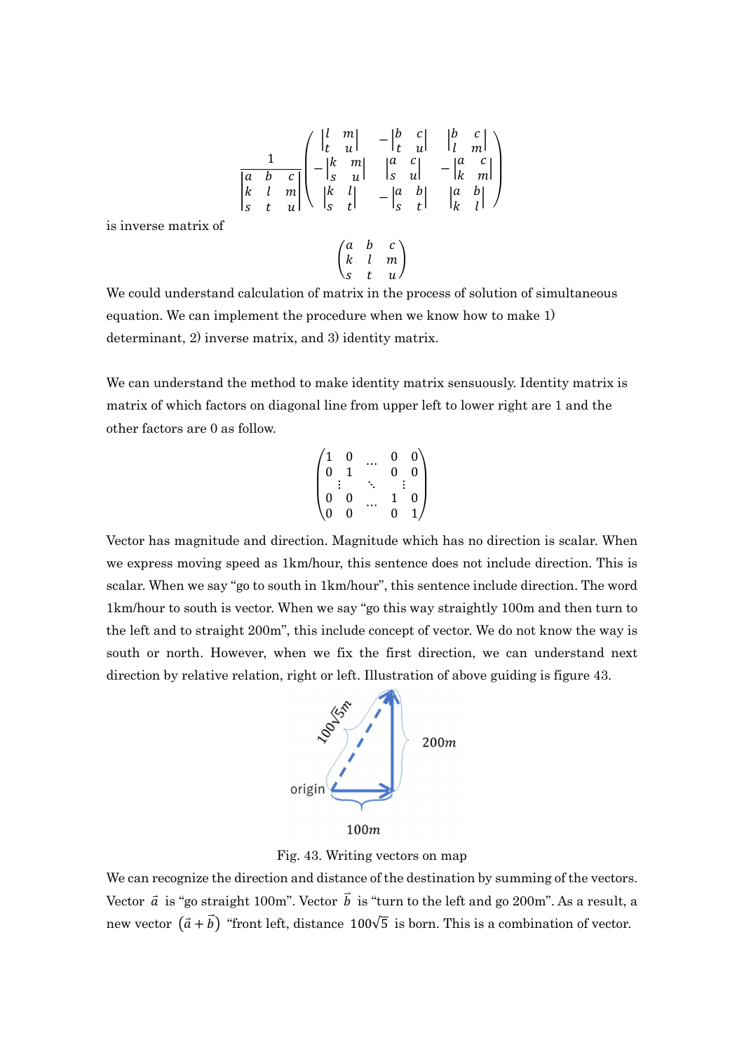$$
\frac{1}{\begin{vmatrix} a & b & c \\ k & l & m \\ s & t & u \end{vmatrix}} \begin{pmatrix} \begin{vmatrix} l & m \\ t & u \end{vmatrix} & -\begin{vmatrix} b & c \\ t & u \end{vmatrix} & \begin{vmatrix} b & c \\ l & m \end{vmatrix} \\ \begin{vmatrix} k & l \\ s & t \end{vmatrix} & \begin{vmatrix} k & l \\ s & t \end{vmatrix} & -\begin{vmatrix} a & b \\ s & t \end{vmatrix} & \begin{vmatrix} a & b \\ k & l \end{vmatrix} \end{pmatrix}}
$$

is inverse matrix of

$$
\begin{pmatrix} a & b & c \\ k & l & m \\ s & t & u \end{pmatrix}
$$

We could understand calculation of matrix in the process of solution of simultaneous equation. We can implement the procedure when we know how to make 1) determinant, 2) inverse matrix, and 3) identity matrix.

We can understand the method to make identity matrix sensuously. Identity matrix is matrix of which factors on diagonal line from upper left to lower right are 1 and the other factors are 0 as follow.

$$
\begin{pmatrix} 1 & 0 & \ldots & 0 & 0 \\ 0 & 1 & & 0 & 0 \\ \vdots & & \ddots & & \vdots \\ 0 & 0 & \ldots & 1 & 0 \\ 0 & 0 & & 0 & 1 \end{pmatrix}
$$

Vector has magnitude and direction. Magnitude which has no direction is scalar. When we express moving speed as 1km/hour, this sentence does not include direction. This is scalar. When we say "go to south in 1km/hour", this sentence include direction. The word 1km/hour to south is vector. When we say "go this way straightly 100m and then turn to the left and to straight 200m", this include concept of vector. We do not know the way is south or north. However, when we fix the first direction, we can understand next direction by relative relation, right or left. Illustration of above guiding is figure 43.



Fig. 43. Writing vectors on map

We can recognize the direction and distance of the destination by summing of the vectors. Vector  $\vec{a}$  is "go straight 100m". Vector  $\vec{b}$  is "turn to the left and go 200m". As a result, a new vector  $(\vec{a} + \vec{b})$  "front left, distance 100 $\sqrt{5}$  is born. This is a combination of vector.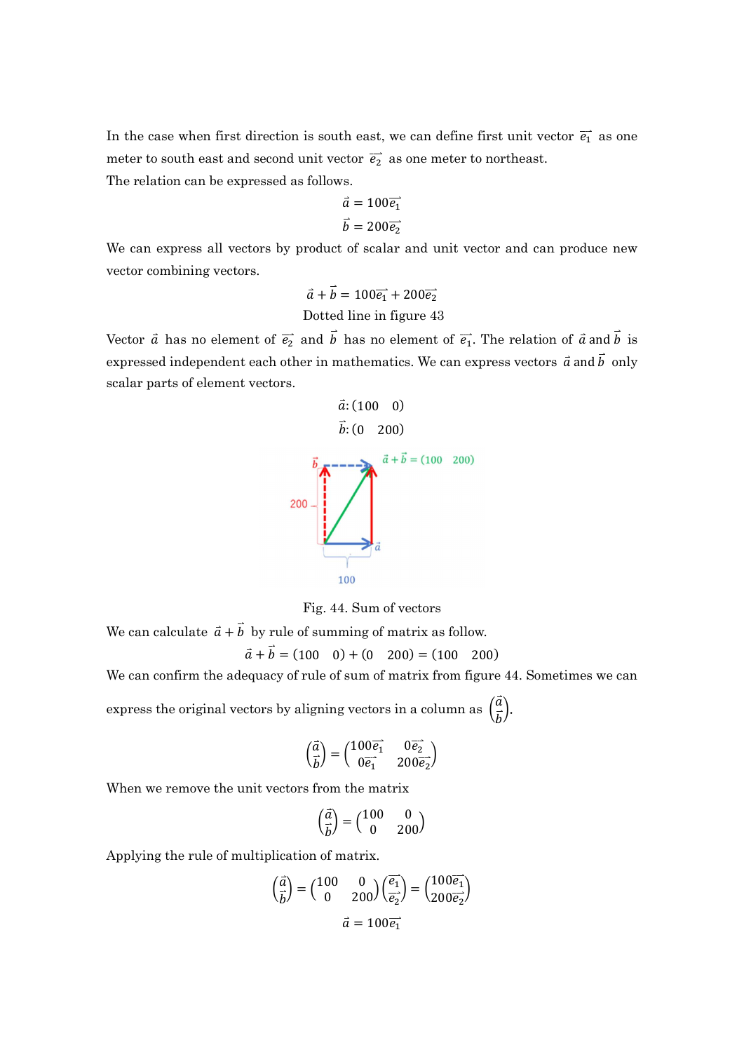In the case when first direction is south east, we can define first unit vector  $\vec{e_1}$  as one meter to south east and second unit vector  $\vec{e}_2$  as one meter to northeast.

The relation can be expressed as follows.

$$
\vec{a} = 100\vec{e_1}
$$

$$
\vec{b} = 200\vec{e_2}
$$

We can express all vectors by product of scalar and unit vector and can produce new vector combining vectors.

$$
\vec{a} + \vec{b} = 100\vec{e_1} + 200\vec{e_2}
$$
  
Dotted line in figure 43

Vector  $\vec{a}$  has no element of  $\vec{e}_2$  and  $\vec{b}$  has no element of  $\vec{e}_1$ . The relation of  $\vec{a}$  and  $\vec{b}$  is expressed independent each other in mathematics. We can express vectors  $\vec{a}$  and  $\vec{b}$  only scalar parts of element vectors.



Fig. 44. Sum of vectors

We can calculate  $\vec{a} + \vec{b}$  by rule of summing of matrix as follow.

$$
\vec{a} + \vec{b} = (100 \quad 0) + (0 \quad 200) = (100 \quad 200)
$$

We can confirm the adequacy of rule of sum of matrix from figure 44. Sometimes we can

express the original vectors by aligning vectors in a column as  $\left(\frac{\vec{a}}{\vec{b}}\right)$  $\frac{a}{b}$ .

$$
\begin{pmatrix} \vec{a} \\ \vec{b} \end{pmatrix} = \begin{pmatrix} 100\vec{e_1} & 0\vec{e_2} \\ 0\vec{e_1} & 200\vec{e_2} \end{pmatrix}
$$

When we remove the unit vectors from the matrix

$$
\begin{pmatrix} \vec{a} \\ \vec{b} \end{pmatrix} = \begin{pmatrix} 100 & 0 \\ 0 & 200 \end{pmatrix}
$$

Applying the rule of multiplication of matrix.

$$
\left(\frac{\vec{a}}{\vec{b}}\right) = \begin{pmatrix} 100 & 0\\ 0 & 200 \end{pmatrix} \left(\frac{\vec{e_1}}{\vec{e_2}}\right) = \begin{pmatrix} 100\overline{e_1} \\ 200\overline{e_2} \end{pmatrix}
$$

$$
\vec{a} = 100\overline{e_1}
$$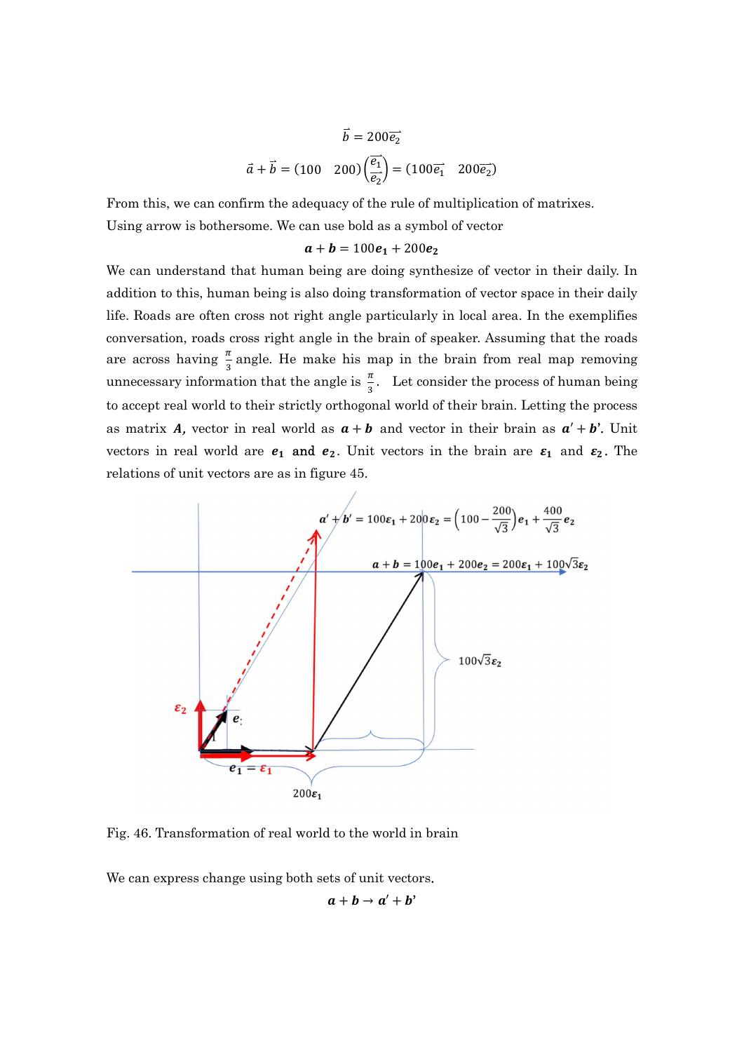$$
\vec{b} = 200\overrightarrow{e_2}
$$

$$
\vec{a} + \vec{b} = (100 \quad 200) \left(\frac{\overrightarrow{e_1}}{\overrightarrow{e_2}}\right) = (100\overrightarrow{e_1} \quad 200\overrightarrow{e_2})
$$

From this, we can confirm the adequacy of the rule of multiplication of matrixes. Using arrow is bothersome. We can use bold as a symbol of vector

## $a + b = 100e<sub>1</sub> + 200e<sub>2</sub>$

We can understand that human being are doing synthesize of vector in their daily. In addition to this, human being is also doing transformation of vector space in their daily life. Roads are often cross not right angle particularly in local area. In the exemplifies conversation, roads cross right angle in the brain of speaker. Assuming that the roads are across having  $\frac{\pi}{3}$  angle. He make his map in the brain from real map removing unnecessary information that the angle is  $\frac{\pi}{3}$ . Let consider the process of human being to accept real world to their strictly orthogonal world of their brain. Letting the process as matrix A, vector in real world as  $a + b$  and vector in their brain as  $a' + b'$ . Unit vectors in real world are  $e_1$  and  $e_2$ . Unit vectors in the brain are  $\varepsilon_1$  and  $\varepsilon_2$ . The relations of unit vectors are as in figure 45.



Fig. 46. Transformation of real world to the world in brain

We can express change using both sets of unit vectors.

$$
a+b\rightarrow a'+b'
$$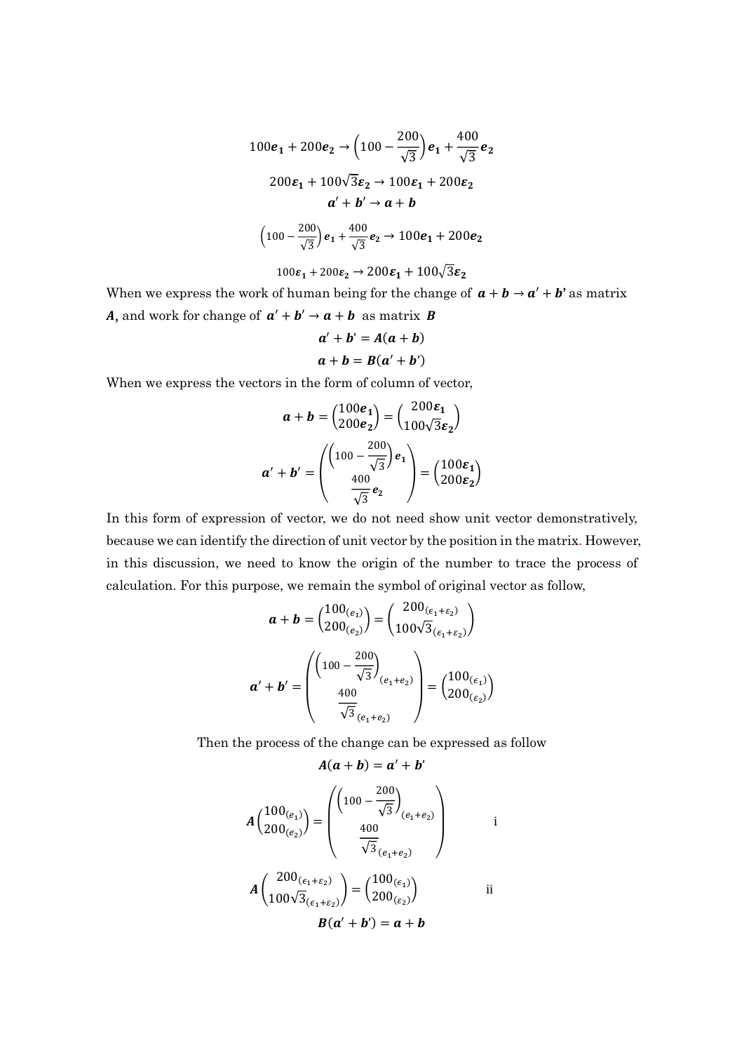$$
100e_1 + 200e_2 \rightarrow \left(100 - \frac{200}{\sqrt{3}}\right)e_1 + \frac{400}{\sqrt{3}}e_2
$$

$$
200\epsilon_1 + 100\sqrt{3}\epsilon_2 \rightarrow 100\epsilon_1 + 200\epsilon_2
$$

$$
a' + b' \rightarrow a + b
$$

$$
\left(100 - \frac{200}{\sqrt{3}}\right)e_1 + \frac{400}{\sqrt{3}}e_2 \rightarrow 100e_1 + 200e_2
$$

$$
100\epsilon_1 + 200\epsilon_2 \rightarrow 200\epsilon_1 + 100\sqrt{3}\epsilon_2
$$

When we express the work of human being for the change of  $a + b \rightarrow a' + b'$  as matrix A, and work for change of  $a' + b' \rightarrow a + b$  as matrix **B** 

$$
a' + b' = A(a + b)
$$
  

$$
a + b = B(a' + b')
$$

When we express the vectors in the form of column of vector,

$$
\mathbf{a} + \mathbf{b} = \begin{pmatrix} 100\mathbf{e}_1 \\ 200\mathbf{e}_2 \end{pmatrix} = \begin{pmatrix} 200\mathbf{\varepsilon}_1 \\ 100\sqrt{3}\mathbf{\varepsilon}_2 \end{pmatrix}
$$

$$
\mathbf{a}' + \mathbf{b}' = \begin{pmatrix} \left(100 - \frac{200}{\sqrt{3}}\right)\mathbf{e}_1 \\ \frac{400}{\sqrt{3}}\mathbf{e}_2 \end{pmatrix} = \begin{pmatrix} 100\mathbf{\varepsilon}_1 \\ 200\mathbf{\varepsilon}_2 \end{pmatrix}
$$

In this form of expression of vector, we do not need show unit vector demonstratively, because we can identify the direction of unit vector by the position in the matrix. However, in this discussion, we need to know the origin of the number to trace the process of calculation. For this purpose, we remain the symbol of original vector as follow,

$$
\mathbf{a} + \mathbf{b} = \begin{pmatrix} 100_{(e_1)} \\ 200_{(e_2)} \end{pmatrix} = \begin{pmatrix} 200_{(\epsilon_1 + \epsilon_2)} \\ 100\sqrt{3}_{(\epsilon_1 + \epsilon_2)} \end{pmatrix}
$$

$$
\mathbf{a}' + \mathbf{b}' = \begin{pmatrix} \left(100 - \frac{200}{\sqrt{3}}\right) \\ \frac{400}{\sqrt{3}_{(e_1 + e_2)}} \end{pmatrix} = \begin{pmatrix} 100_{(\epsilon_1)} \\ 200_{(\epsilon_2)} \end{pmatrix}
$$

Then the process of the change can be expressed as follow

$$
A(a + b) = a' + b'
$$
  
\n
$$
A\begin{pmatrix} 100_{(e_1)} \\ 200_{(e_2)} \end{pmatrix} = \begin{pmatrix} \left(100 - \frac{200}{\sqrt{3}}\right) \\ \frac{400}{\sqrt{3}} \\ \frac{400}{\sqrt{3}} \\ \frac{200_{(\epsilon_1 + \epsilon_2)}}{100\sqrt{3}_{(\epsilon_1 + \epsilon_2)}} \end{pmatrix} = \begin{pmatrix} 100_{(\epsilon_1)} \\ 200_{(\epsilon_2)} \end{pmatrix}
$$
ii  
\n
$$
B(a' + b') = a + b
$$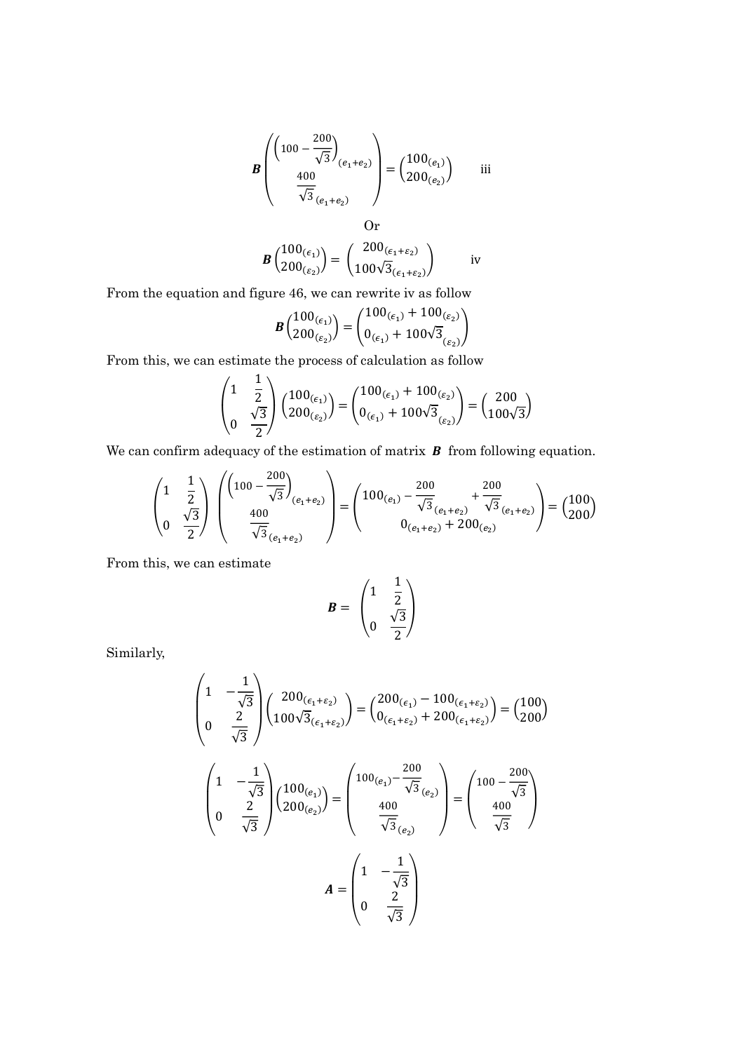$$
\boldsymbol{B}\left(\begin{pmatrix}100-\frac{200}{\sqrt{3}}\\ \frac{400}{\sqrt{3}}\end{pmatrix}_{(e_1+e_2)}\right) = \begin{pmatrix}100_{(e_1)}\\ 200_{(e_2)}\end{pmatrix}
$$
iii

Or  
\n
$$
\mathbf{B}\begin{pmatrix}100_{(\epsilon_1)}\\200_{(\epsilon_2)}\end{pmatrix} = \begin{pmatrix}200_{(\epsilon_1+\epsilon_2)}\\100\sqrt{3}_{(\epsilon_1+\epsilon_2)}\end{pmatrix}
$$
iv

From the equation and figure 46, we can rewrite iv as follow

$$
\pmb{B}\binom{100_{(\varepsilon_1)}}{200_{(\varepsilon_2)}} = \binom{100_{(\varepsilon_1)} + 100_{(\varepsilon_2)}}{0_{(\varepsilon_1)} + 100\sqrt{3}_{(\varepsilon_2)}}\pmb{B}
$$

From this, we can estimate the process of calculation as follow

$$
\begin{pmatrix} 1 & \frac{1}{2} \\ 0 & \frac{\sqrt{3}}{2} \end{pmatrix} \begin{pmatrix} 100_{(\epsilon_1)} \\ 200_{(\epsilon_2)} \end{pmatrix} = \begin{pmatrix} 100_{(\epsilon_1)} + 100_{(\epsilon_2)} \\ 0_{(\epsilon_1)} + 100\sqrt{3}_{(\epsilon_2)} \end{pmatrix} = \begin{pmatrix} 200 \\ 100\sqrt{3} \end{pmatrix}
$$

We can confirm adequacy of the estimation of matrix  $\boldsymbol{B}$  from following equation.

$$
\begin{pmatrix} 1 & \frac{1}{2} \\ 0 & \frac{\sqrt{3}}{2} \end{pmatrix} \begin{pmatrix} \left(100 - \frac{200}{\sqrt{3}}\right)_{(e_1 + e_2)} \\ \frac{400}{\sqrt{3}}_{(e_1 + e_2)} \end{pmatrix} = \begin{pmatrix} 100_{(e_1)} - \frac{200}{\sqrt{3}}_{(e_1 + e_2)} + \frac{200}{\sqrt{3}}_{(e_1 + e_2)} \\ 0_{(e_1 + e_2)} + 200_{(e_2)} \end{pmatrix} = \begin{pmatrix} 100 \\ 200 \end{pmatrix}
$$

From this, we can estimate

$$
B = \begin{pmatrix} 1 & \frac{1}{2} \\ 0 & \frac{\sqrt{3}}{2} \end{pmatrix}
$$

Similarly,

$$
\begin{pmatrix} 1 & -\frac{1}{\sqrt{3}} \\ 0 & \frac{2}{\sqrt{3}} \end{pmatrix} \begin{pmatrix} 200_{(\epsilon_1+\epsilon_2)} \\ 100\sqrt{3}_{(\epsilon_1+\epsilon_2)} \end{pmatrix} = \begin{pmatrix} 200_{(\epsilon_1)} - 100_{(\epsilon_1+\epsilon_2)} \\ 0_{(\epsilon_1+\epsilon_2)} + 200_{(\epsilon_1+\epsilon_2)} \end{pmatrix} = \begin{pmatrix} 100 \\ 200 \end{pmatrix}
$$

$$
\begin{pmatrix} 1 & -\frac{1}{\sqrt{3}} \\ 0 & \frac{2}{\sqrt{3}} \end{pmatrix} \begin{pmatrix} 100_{(\epsilon_1)} \\ 200_{(\epsilon_2)} \end{pmatrix} = \begin{pmatrix} 100_{(\epsilon_1)} - \frac{200}{\sqrt{3}} \\ \frac{400}{\sqrt{3}_{(\epsilon_2)}} \end{pmatrix} = \begin{pmatrix} 100 - \frac{200}{\sqrt{3}} \\ \frac{400}{\sqrt{3}} \end{pmatrix}
$$

$$
A = \begin{pmatrix} 1 & -\frac{1}{\sqrt{3}} \\ 0 & \frac{2}{\sqrt{3}} \end{pmatrix}
$$